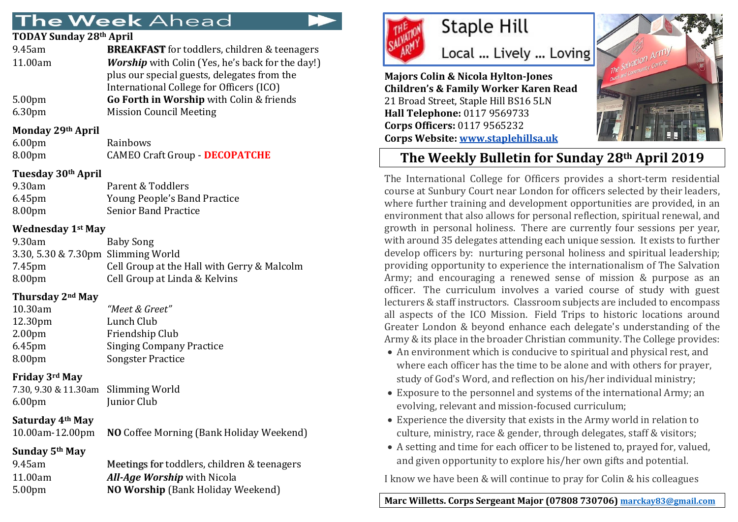# **The Week Ahead**

#### **TODAY Sunday 28th April**

| 9.45am             | <b>BREAKFAST</b> for toddlers, children & teenagers     |
|--------------------|---------------------------------------------------------|
| 11.00am            | <b>Worship</b> with Colin (Yes, he's back for the day!) |
|                    | plus our special guests, delegates from the             |
|                    | International College for Officers (ICO)                |
| 5.00 <sub>pm</sub> | Go Forth in Worship with Colin & friends                |
| 6.30pm             | <b>Mission Council Meeting</b>                          |
|                    |                                                         |

### **Monday 29th April**

| 6.00 <sub>pm</sub> | Rainbows                              |
|--------------------|---------------------------------------|
| 8.00 <sub>pm</sub> | <b>CAMEO Craft Group - DECOPATCHE</b> |

### **Tuesday 30th April**

| 9.30am    | Parent & Toddlers            |
|-----------|------------------------------|
| $6.45$ pm | Young People's Band Practice |
| 8.00pm    | <b>Senior Band Practice</b>  |

#### **Wednesday 1st May**

| 9.30am                             | Baby Song                                   |
|------------------------------------|---------------------------------------------|
| 3.30, 5.30 & 7.30pm Slimming World |                                             |
| 7.45pm                             | Cell Group at the Hall with Gerry & Malcolm |
| 8.00 <sub>pm</sub>                 | Cell Group at Linda & Kelvins               |
|                                    |                                             |

### **Thursday 2nd May**

| "Meet & Greet"                  |
|---------------------------------|
| Lunch Club                      |
| Friendship Club                 |
| <b>Singing Company Practice</b> |
| <b>Songster Practice</b>        |
|                                 |

### **Friday 3rd May**

| 7.30, 9.30 & 11.30am Slimming World |             |
|-------------------------------------|-------------|
| 6.00pm                              | Junior Club |

### **Saturday 4th May**

10.00am-12.00pm **NO** Coffee Morning (Bank Holiday Weekend)

## **Sunday 5th May**

| 9.45am  | Meetings for toddlers, children & teenagers |
|---------|---------------------------------------------|
| 11.00am | <b>All-Age Worship</b> with Nicola          |
| 5.00pm  | <b>NO Worship (Bank Holiday Weekend)</b>    |
|         |                                             |



# **Staple Hill**

Local ... Lively ... Loving

**Majors Colin & Nicola Hylton-Jones Children's & Family Worker Karen Read** 21 Broad Street, Staple Hill BS16 5LN **Hall Telephone:** 0117 9569733 **Corps Officers:** 0117 9565232 **Corps Website: [www.staplehillsa.uk](http://www.staplehillsa.uk/)**



# **The Weekly Bulletin for Sunday 28th April 2019**

The International College for Officers provides a short-term residential course at Sunbury Court near London for officers selected by their leaders, where further training and development opportunities are provided, in an environment that also allows for personal reflection, spiritual renewal, and growth in personal holiness. There are currently four sessions per year, with around 35 delegates attending each unique session. It exists to further develop officers by: nurturing personal holiness and spiritual leadership; providing opportunity to experience the internationalism of The Salvation Army; and encouraging a renewed sense of mission & purpose as an officer. The curriculum involves a varied course of study with guest lecturers & staff instructors. Classroom subjects are included to encompass all aspects of the ICO Mission. Field Trips to historic locations around Greater London & beyond enhance each delegate's understanding of the Army & its place in the broader Christian community. The College provides:

- An environment which is conducive to spiritual and physical rest, and where each officer has the time to be alone and with others for prayer, study of God's Word, and reflection on his/her individual ministry;
- Exposure to the personnel and systems of the international Army; an evolving, relevant and mission-focused curriculum;
- Experience the diversity that exists in the Army world in relation to culture, ministry, race & gender, through delegates, staff & visitors;
- A setting and time for each officer to be listened to, prayed for, valued, and given opportunity to explore his/her own gifts and potential.

I know we have been & will continue to pray for Colin & his colleagues

# **Marc Willetts. Corps Sergeant Major (07808 730706) [marckay83@gmail.com](mailto:marckay83@gmail.com)**